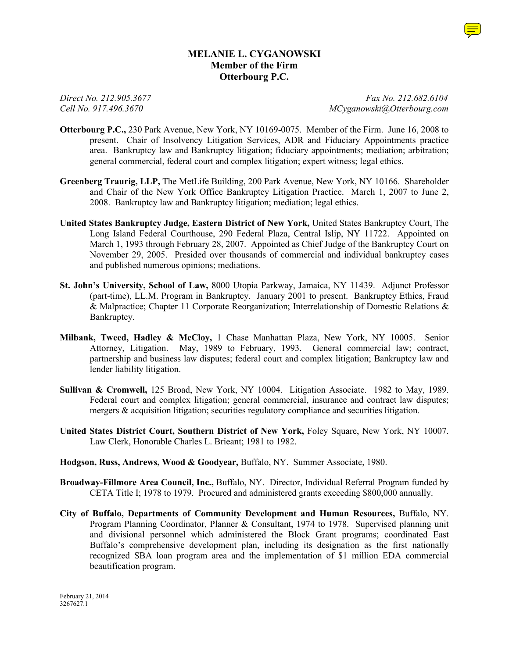# **MELANIE L. CYGANOWSKI Member of the Firm Otterbourg P.C.**

*Direct No. 212.905.3677 Fax No. 212.682.6104 Cell No. 917.496.3670 MCyganowski@Otterbourg.com*

- **Otterbourg P.C.,** 230 Park Avenue, New York, NY 10169-0075. Member of the Firm. June 16, 2008 to present. Chair of Insolvency Litigation Services, ADR and Fiduciary Appointments practice area. Bankruptcy law and Bankruptcy litigation; fiduciary appointments; mediation; arbitration; general commercial, federal court and complex litigation; expert witness; legal ethics.
- **Greenberg Traurig, LLP,** The MetLife Building, 200 Park Avenue, New York, NY 10166. Shareholder and Chair of the New York Office Bankruptcy Litigation Practice. March 1, 2007 to June 2, 2008. Bankruptcy law and Bankruptcy litigation; mediation; legal ethics.
- **United States Bankruptcy Judge, Eastern District of New York,** United States Bankruptcy Court, The Long Island Federal Courthouse, 290 Federal Plaza, Central Islip, NY 11722. Appointed on March 1, 1993 through February 28, 2007. Appointed as Chief Judge of the Bankruptcy Court on November 29, 2005. Presided over thousands of commercial and individual bankruptcy cases and published numerous opinions; mediations.
- **St. John's University, School of Law,** 8000 Utopia Parkway, Jamaica, NY 11439. Adjunct Professor (part-time), LL.M. Program in Bankruptcy. January 2001 to present. Bankruptcy Ethics, Fraud & Malpractice; Chapter 11 Corporate Reorganization; Interrelationship of Domestic Relations & Bankruptcy.
- **Milbank, Tweed, Hadley & McCloy,** 1 Chase Manhattan Plaza, New York, NY 10005. Senior Attorney, Litigation. May, 1989 to February, 1993. General commercial law; contract, partnership and business law disputes; federal court and complex litigation; Bankruptcy law and lender liability litigation.
- **Sullivan & Cromwell,** 125 Broad, New York, NY 10004. Litigation Associate. 1982 to May, 1989. Federal court and complex litigation; general commercial, insurance and contract law disputes; mergers  $\&$  acquisition litigation; securities regulatory compliance and securities litigation.
- **United States District Court, Southern District of New York,** Foley Square, New York, NY 10007. Law Clerk, Honorable Charles L. Brieant; 1981 to 1982.
- **Hodgson, Russ, Andrews, Wood & Goodyear,** Buffalo, NY. Summer Associate, 1980.
- **Broadway-Fillmore Area Council, Inc.,** Buffalo, NY. Director, Individual Referral Program funded by CETA Title I; 1978 to 1979. Procured and administered grants exceeding \$800,000 annually.
- **City of Buffalo, Departments of Community Development and Human Resources,** Buffalo, NY. Program Planning Coordinator, Planner & Consultant, 1974 to 1978. Supervised planning unit and divisional personnel which administered the Block Grant programs; coordinated East Buffalo's comprehensive development plan, including its designation as the first nationally recognized SBA loan program area and the implementation of \$1 million EDA commercial beautification program.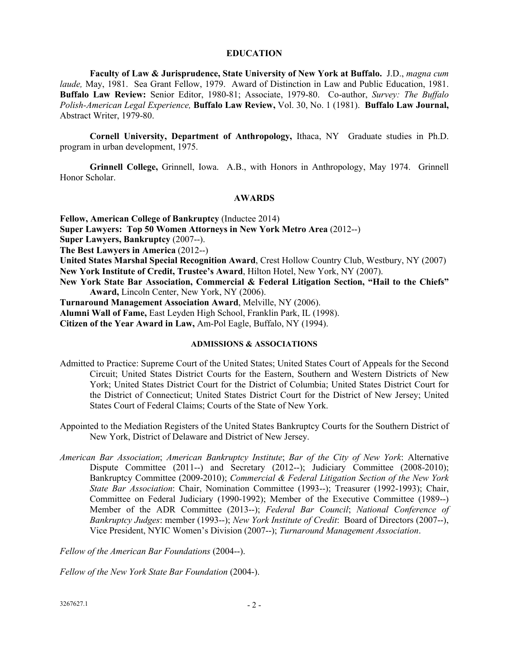#### **EDUCATION**

**Faculty of Law & Jurisprudence, State University of New York at Buffalo.** J.D., *magna cum laude,* May, 1981. Sea Grant Fellow, 1979. Award of Distinction in Law and Public Education, 1981. **Buffalo Law Review:** Senior Editor, 1980-81; Associate, 1979-80. Co-author, *Survey: The Buffalo Polish-American Legal Experience,* **Buffalo Law Review,** Vol. 30, No. 1 (1981). **Buffalo Law Journal,** Abstract Writer, 1979-80.

**Cornell University, Department of Anthropology,** Ithaca, NY Graduate studies in Ph.D. program in urban development, 1975.

**Grinnell College,** Grinnell, Iowa. A.B., with Honors in Anthropology, May 1974. Grinnell Honor Scholar.

#### **AWARDS**

**Fellow, American College of Bankruptcy** (Inductee 2014)

**Super Lawyers: Top 50 Women Attorneys in New York Metro Area** (2012--)

**Super Lawyers, Bankruptcy** (2007--).

**The Best Lawyers in America** (2012--)

**United States Marshal Special Recognition Award**, Crest Hollow Country Club, Westbury, NY (2007) **New York Institute of Credit, Trustee's Award**, Hilton Hotel, New York, NY (2007).

**New York State Bar Association, Commercial & Federal Litigation Section, "Hail to the Chiefs" Award,** Lincoln Center, New York, NY (2006).

**Turnaround Management Association Award**, Melville, NY (2006).

**Alumni Wall of Fame,** East Leyden High School, Franklin Park, IL (1998).

**Citizen of the Year Award in Law,** Am-Pol Eagle, Buffalo, NY (1994).

### **ADMISSIONS & ASSOCIATIONS**

- Admitted to Practice: Supreme Court of the United States; United States Court of Appeals for the Second Circuit; United States District Courts for the Eastern, Southern and Western Districts of New York; United States District Court for the District of Columbia; United States District Court for the District of Connecticut; United States District Court for the District of New Jersey; United States Court of Federal Claims; Courts of the State of New York.
- Appointed to the Mediation Registers of the United States Bankruptcy Courts for the Southern District of New York, District of Delaware and District of New Jersey.
- *American Bar Association*; *American Bankruptcy Institute*; *Bar of the City of New York*: Alternative Dispute Committee (2011--) and Secretary (2012--); Judiciary Committee (2008-2010); Bankruptcy Committee (2009-2010); *Commercial & Federal Litigation Section of the New York State Bar Association*: Chair, Nomination Committee (1993--); Treasurer (1992-1993); Chair, Committee on Federal Judiciary (1990-1992); Member of the Executive Committee (1989--) Member of the ADR Committee (2013--); *Federal Bar Council*; *National Conference of Bankruptcy Judges*: member (1993--); *New York Institute of Credit*: Board of Directors (2007--), Vice President, NYIC Women's Division (2007--); *Turnaround Management Association*.

*Fellow of the American Bar Foundations* (2004--).

*Fellow of the New York State Bar Foundation* (2004-).

 $3267627.1$  - 2 -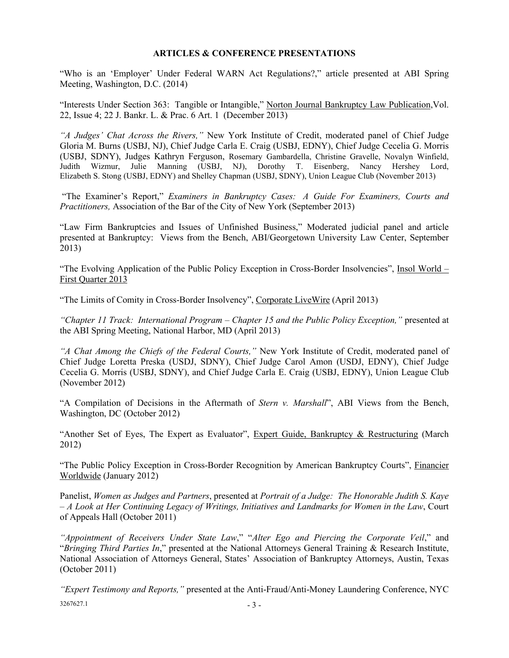## **ARTICLES & CONFERENCE PRESENTATIONS**

"Who is an 'Employer' Under Federal WARN Act Regulations?," article presented at ABI Spring Meeting, Washington, D.C. (2014)

"Interests Under Section 363: Tangible or Intangible," Norton Journal Bankruptcy Law Publication, Vol. 22, Issue 4; 22 J. Bankr. L. & Prac. 6 Art. 1 (December 2013)

*"A Judges' Chat Across the Rivers,"* New York Institute of Credit, moderated panel of Chief Judge Gloria M. Burns (USBJ, NJ), Chief Judge Carla E. Craig (USBJ, EDNY), Chief Judge Cecelia G. Morris (USBJ, SDNY), Judges Kathryn Ferguson, Rosemary Gambardella, Christine Gravelle, Novalyn Winfield, Judith Wizmur, Julie Manning (USBJ, NJ), Dorothy T. Eisenberg, Nancy Hershey Lord, Elizabeth S. Stong (USBJ, EDNY) and Shelley Chapman (USBJ, SDNY), Union League Club (November 2013)

"The Examiner's Report," *Examiners in Bankruptcy Cases: A Guide For Examiners, Courts and Practitioners,* Association of the Bar of the City of New York (September 2013)

"Law Firm Bankruptcies and Issues of Unfinished Business," Moderated judicial panel and article presented at Bankruptcy: Views from the Bench, ABI/Georgetown University Law Center, September 2013)

"The Evolving Application of the Public Policy Exception in Cross-Border Insolvencies", Insol World -First Quarter 2013

"The Limits of Comity in Cross-Border Insolvency", Corporate LiveWire (April 2013)

*"Chapter 11 Track: International Program – Chapter 15 and the Public Policy Exception,"* presented at the ABI Spring Meeting, National Harbor, MD (April 2013)

*"A Chat Among the Chiefs of the Federal Courts,"* New York Institute of Credit, moderated panel of Chief Judge Loretta Preska (USDJ, SDNY), Chief Judge Carol Amon (USDJ, EDNY), Chief Judge Cecelia G. Morris (USBJ, SDNY), and Chief Judge Carla E. Craig (USBJ, EDNY), Union League Club (November 2012)

"A Compilation of Decisions in the Aftermath of *Stern v. Marshall*", ABI Views from the Bench, Washington, DC (October 2012)

"Another Set of Eyes, The Expert as Evaluator", Expert Guide, Bankruptcy & Restructuring (March 2012)

"The Public Policy Exception in Cross-Border Recognition by American Bankruptcy Courts", Financier Worldwide (January 2012)

Panelist, *Women as Judges and Partners*, presented at *Portrait of a Judge: The Honorable Judith S. Kaye – A Look at Her Continuing Legacy of Writings, Initiatives and Landmarks for Women in the Law*, Court of Appeals Hall (October 2011)

*"Appointment of Receivers Under State Law*," "*Alter Ego and Piercing the Corporate Veil*," and "*Bringing Third Parties In*," presented at the National Attorneys General Training & Research Institute, National Association of Attorneys General, States' Association of Bankruptcy Attorneys, Austin, Texas (October 2011)

 $3267627.1$  - 3 -*"Expert Testimony and Reports,"* presented at the Anti-Fraud/Anti-Money Laundering Conference, NYC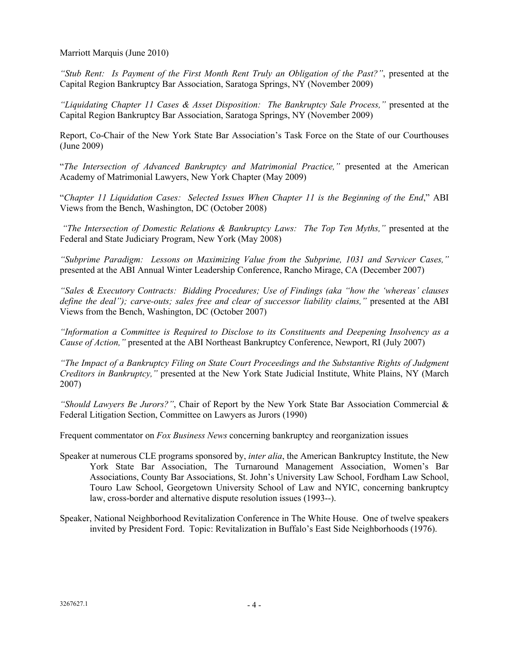Marriott Marquis (June 2010)

*"Stub Rent: Is Payment of the First Month Rent Truly an Obligation of the Past?"*, presented at the Capital Region Bankruptcy Bar Association, Saratoga Springs, NY (November 2009)

*"Liquidating Chapter 11 Cases & Asset Disposition: The Bankruptcy Sale Process,"* presented at the Capital Region Bankruptcy Bar Association, Saratoga Springs, NY (November 2009)

Report, Co-Chair of the New York State Bar Association's Task Force on the State of our Courthouses (June 2009)

"*The Intersection of Advanced Bankruptcy and Matrimonial Practice,"* presented at the American Academy of Matrimonial Lawyers, New York Chapter (May 2009)

"*Chapter 11 Liquidation Cases: Selected Issues When Chapter 11 is the Beginning of the End*," ABI Views from the Bench, Washington, DC (October 2008)

*"The Intersection of Domestic Relations & Bankruptcy Laws: The Top Ten Myths,"* presented at the Federal and State Judiciary Program, New York (May 2008)

*"Subprime Paradigm: Lessons on Maximizing Value from the Subprime, 1031 and Servicer Cases,"* presented at the ABI Annual Winter Leadership Conference, Rancho Mirage, CA (December 2007)

*"Sales & Executory Contracts: Bidding Procedures; Use of Findings (aka "how the 'whereas' clauses*  define the deal"); carve-outs; sales free and clear of successor liability claims," presented at the ABI Views from the Bench, Washington, DC (October 2007)

*"Information a Committee is Required to Disclose to its Constituents and Deepening Insolvency as a Cause of Action,"* presented at the ABI Northeast Bankruptcy Conference, Newport, RI (July 2007)

*"The Impact of a Bankruptcy Filing on State Court Proceedings and the Substantive Rights of Judgment Creditors in Bankruptcy,"* presented at the New York State Judicial Institute, White Plains, NY (March 2007)

*"Should Lawyers Be Jurors?"*, Chair of Report by the New York State Bar Association Commercial & Federal Litigation Section, Committee on Lawyers as Jurors (1990)

Frequent commentator on *Fox Business News* concerning bankruptcy and reorganization issues

- Speaker at numerous CLE programs sponsored by, *inter alia*, the American Bankruptcy Institute, the New York State Bar Association, The Turnaround Management Association, Women's Bar Associations, County Bar Associations, St. John's University Law School, Fordham Law School, Touro Law School, Georgetown University School of Law and NYIC, concerning bankruptcy law, cross-border and alternative dispute resolution issues (1993--).
- Speaker, National Neighborhood Revitalization Conference in The White House. One of twelve speakers invited by President Ford. Topic: Revitalization in Buffalo's East Side Neighborhoods (1976).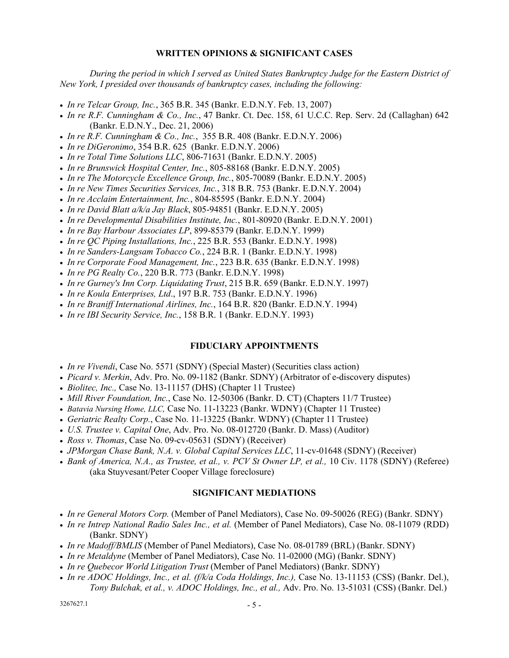## **WRITTEN OPINIONS & SIGNIFICANT CASES**

*During the period in which I served as United States Bankruptcy Judge for the Eastern District of New York, I presided over thousands of bankruptcy cases, including the following:*

- *In re Telcar Group, Inc.*, 365 B.R. 345 (Bankr. E.D.N.Y. Feb. 13, 2007)
- *In re R.F. Cunningham & Co., Inc.*, 47 Bankr. Ct. Dec. 158, 61 U.C.C. Rep. Serv. 2d (Callaghan) 642 (Bankr. E.D.N.Y., Dec. 21, 2006)
- *In re R.F. Cunningham & Co., Inc.*, 355 B.R. 408 (Bankr. E.D.N.Y. 2006)
- *In re DiGeronimo*, 354 B.R. 625 (Bankr. E.D.N.Y. 2006)
- *In re Total Time Solutions LLC*, 806-71631 (Bankr. E.D.N.Y. 2005)
- *In re Brunswick Hospital Center, Inc.*, 805-88168 (Bankr. E.D.N.Y. 2005)
- *In re The Motorcycle Excellence Group, Inc.*, 805-70089 (Bankr. E.D.N.Y. 2005)
- *In re New Times Securities Services, Inc.*, 318 B.R. 753 (Bankr. E.D.N.Y. 2004)
- *In re Acclaim Entertainment, Inc.*, 804-85595 (Bankr. E.D.N.Y. 2004)
- *In re David Blatt a/k/a Jay Black*, 805-94851 (Bankr. E.D.N.Y. 2005)
- *In re Developmental Disabilities Institute, Inc.*, 801-80920 (Bankr. E.D.N.Y. 2001)
- *In re Bay Harbour Associates LP*, 899-85379 (Bankr. E.D.N.Y. 1999)
- *In re QC Piping Installations, Inc.*, 225 B.R. 553 (Bankr. E.D.N.Y. 1998)
- *In re Sanders-Langsam Tobacco Co.*, 224 B.R. 1 (Bankr. E.D.N.Y. 1998)
- *In re Corporate Food Management, Inc.*, 223 B.R. 635 (Bankr. E.D.N.Y. 1998)
- *In re PG Realty Co.*, 220 B.R. 773 (Bankr. E.D.N.Y. 1998)
- *In re Gurney's Inn Corp. Liquidating Trust*, 215 B.R. 659 (Bankr. E.D.N.Y. 1997)
- *In re Koula Enterprises, Ltd*., 197 B.R. 753 (Bankr. E.D.N.Y. 1996)
- *In re Braniff International Airlines, Inc.*, 164 B.R. 820 (Bankr. E.D.N.Y. 1994)
- *In re IBI Security Service, Inc.*, 158 B.R. 1 (Bankr. E.D.N.Y. 1993)

### **FIDUCIARY APPOINTMENTS**

- *In re Vivendi*, Case No. 5571 (SDNY) (Special Master) (Securities class action)
- *Picard v. Merkin*, Adv. Pro. No. 09-1182 (Bankr. SDNY) (Arbitrator of e-discovery disputes)
- *Biolitec, Inc.,* Case No. 13-11157 (DHS) (Chapter 11 Trustee)
- *Mill River Foundation, Inc.*, Case No. 12-50306 (Bankr. D. CT) (Chapters 11/7 Trustee)
- *Batavia Nursing Home, LLC,* Case No. 11-13223 (Bankr. WDNY) (Chapter 11 Trustee)
- *Geriatric Realty Corp.*, Case No. 11-13225 (Bankr. WDNY) (Chapter 11 Trustee)
- *U.S. Trustee v. Capital One*, Adv. Pro. No. 08-012720 (Bankr. D. Mass) (Auditor)
- *Ross v. Thomas*, Case No. 09-cv-05631 (SDNY) (Receiver)
- *JPMorgan Chase Bank, N.A. v. Global Capital Services LLC*, 11-cv-01648 (SDNY) (Receiver)
- *Bank of America, N.A., as Trustee, et al., v. PCV St Owner LP, et al.,* 10 Civ. 1178 (SDNY) (Referee) (aka Stuyvesant/Peter Cooper Village foreclosure)

### **SIGNIFICANT MEDIATIONS**

- *In re General Motors Corp.* (Member of Panel Mediators), Case No. 09-50026 (REG) (Bankr. SDNY)
- *In re Intrep National Radio Sales Inc., et al.* (Member of Panel Mediators), Case No. 08-11079 (RDD) (Bankr. SDNY)
- *In re Madoff/BMLIS* (Member of Panel Mediators), Case No. 08-01789 (BRL) (Bankr. SDNY)
- *In re Metaldyne* (Member of Panel Mediators), Case No. 11-02000 (MG) (Bankr. SDNY)
- *In re Quebecor World Litigation Trust* (Member of Panel Mediators) (Bankr. SDNY)
- In re ADOC Holdings, Inc., et al. (f/k/a Coda Holdings, Inc.), Case No. 13-11153 (CSS) (Bankr. Del.), *Tony Bulchak, et al., v. ADOC Holdings, Inc., et al.,* Adv. Pro. No. 13-51031 (CSS) (Bankr. Del.)

 $3267627.1$  - 5 -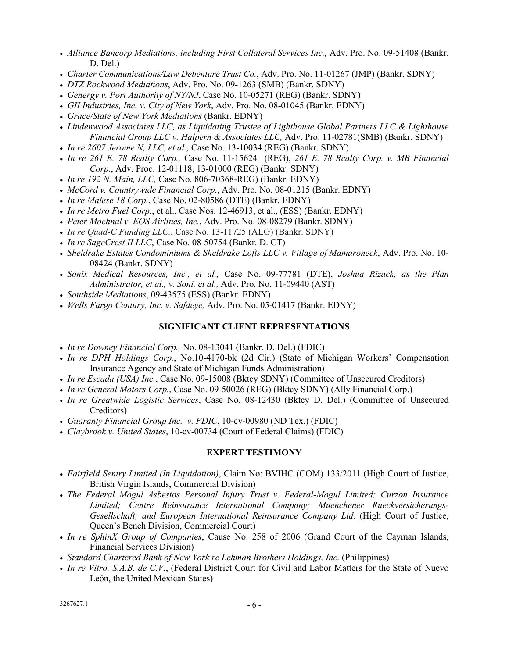- *Alliance Bancorp Mediations, including First Collateral Services Inc.,* Adv. Pro. No. 09-51408 (Bankr. D. Del.)
- *Charter Communications/Law Debenture Trust Co.*, Adv. Pro. No. 11-01267 (JMP) (Bankr. SDNY)
- *DTZ Rockwood Mediations*, Adv. Pro. No. 09-1263 (SMB) (Bankr. SDNY)
- *Genergy v. Port Authority of NY/NJ*, Case No. 10-05271 (REG) (Bankr. SDNY)
- *GII Industries, Inc. v. City of New York*, Adv. Pro. No. 08-01045 (Bankr. EDNY)
- *Grace/State of New York Mediations* (Bankr. EDNY)
- *Lindenwood Associates LLC, as Liquidating Trustee of Lighthouse Global Partners LLC & Lighthouse Financial Group LLC v. Halpern & Associates LLC,* Adv. Pro. 11-02781(SMB) (Bankr. SDNY)
- *In re 2607 Jerome N, LLC, et al.,* Case No. 13-10034 (REG) (Bankr. SDNY)
- *In re 261 E. 78 Realty Corp.,* Case No. 11-15624 (REG), *261 E. 78 Realty Corp. v. MB Financial Corp.*, Adv. Proc. 12-01118, 13-01000 (REG) (Bankr. SDNY)
- *In re 192 N. Main, LLC,* Case No. 806-70368-REG) (Bankr. EDNY)
- *McCord v. Countrywide Financial Corp.*, Adv. Pro. No. 08-01215 (Bankr. EDNY)
- *In re Malese 18 Corp.*, Case No. 02-80586 (DTE) (Bankr. EDNY)
- *In re Metro Fuel Corp.*, et al., Case Nos. 12-46913, et al., (ESS) (Bankr. EDNY)
- *Peter Mochnal v. EOS Airlines, Inc.*, Adv. Pro. No. 08-08279 (Bankr. SDNY)
- *In re Quad-C Funding LLC.*, Case No. 13-11725 (ALG) (Bankr. SDNY)
- *In re SageCrest II LLC*, Case No. 08-50754 (Bankr. D. CT)
- *Sheldrake Estates Condominiums & Sheldrake Lofts LLC v. Village of Mamaroneck*, Adv. Pro. No. 10- 08424 (Bankr. SDNY)
- *Sonix Medical Resources, Inc., et al.,* Case No. 09-77781 (DTE), *Joshua Rizack, as the Plan Administrator, et al., v. Soni, et al.,* Adv. Pro. No. 11-09440 (AST)
- *Southside Mediations*, 09-43575 (ESS) (Bankr. EDNY)
- *Wells Fargo Century, Inc. v. Safdeye,* Adv. Pro. No. 05-01417 (Bankr. EDNY)

# **SIGNIFICANT CLIENT REPRESENTATIONS**

- *In re Downey Financial Corp.,* No. 08-13041 (Bankr. D. Del.) (FDIC)
- *In re DPH Holdings Corp.*, No.10-4170-bk (2d Cir.) (State of Michigan Workers' Compensation Insurance Agency and State of Michigan Funds Administration)
- *In re Escada (USA) Inc.*, Case No. 09-15008 (Bktcy SDNY) (Committee of Unsecured Creditors)
- *In re General Motors Corp.*, Case No. 09-50026 (REG) (Bktcy SDNY) (Ally Financial Corp.)
- *In re Greatwide Logistic Services*, Case No. 08-12430 (Bktcy D. Del.) (Committee of Unsecured Creditors)
- *Guaranty Financial Group Inc. v. FDIC*, 10-cv-00980 (ND Tex.) (FDIC)
- *Claybrook v. United States*, 10-cv-00734 (Court of Federal Claims) (FDIC)

# **EXPERT TESTIMONY**

- *Fairfield Sentry Limited (In Liquidation)*, Claim No: BVIHC (COM) 133/2011 (High Court of Justice, British Virgin Islands, Commercial Division)
- *The Federal Mogul Asbestos Personal Injury Trust v. Federal-Mogul Limited; Curzon Insurance Limited; Centre Reinsurance International Company; Muenchener Rueckversicherungs-Gesellschaft; and European International Reinsurance Company Ltd.* (High Court of Justice, Queen's Bench Division, Commercial Court)
- *In re SphinX Group of Companies*, Cause No. 258 of 2006 (Grand Court of the Cayman Islands, Financial Services Division)
- Standard Chartered Bank of New York re Lehman Brothers Holdings, Inc. (Philippines)
- *In re Vitro, S.A.B. de C.V.*, (Federal District Court for Civil and Labor Matters for the State of Nuevo León, the United Mexican States)